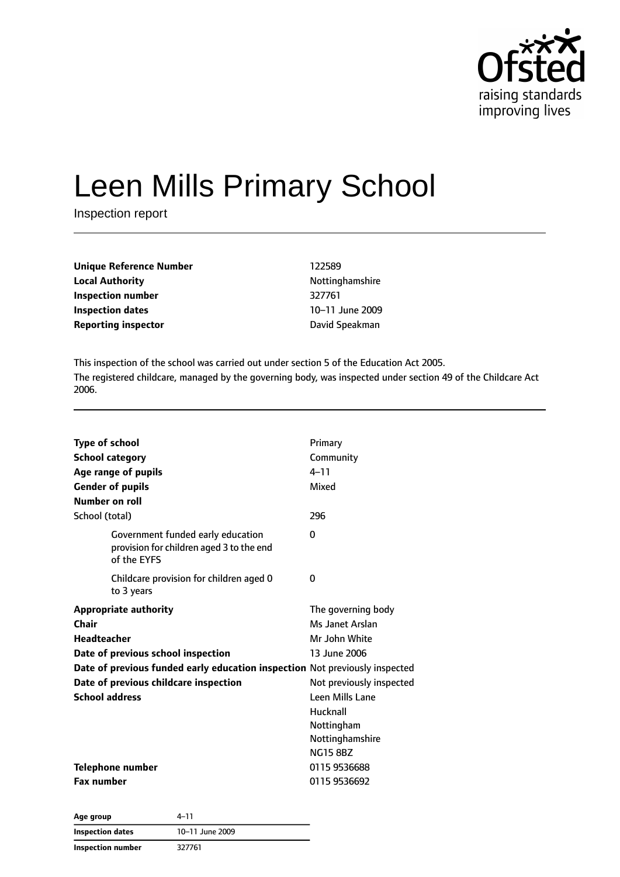

# Leen Mills Primary School

Inspection report

| Unique Reference Number    | 122589          |
|----------------------------|-----------------|
| <b>Local Authority</b>     | Nottinghamshire |
| Inspection number          | 327761          |
| <b>Inspection dates</b>    | 10-11 June 2009 |
| <b>Reporting inspector</b> | David Speakman  |

This inspection of the school was carried out under section 5 of the Education Act 2005. The registered childcare, managed by the governing body, was inspected under section 49 of the Childcare Act 2006.

| Type of school<br><b>School category</b><br>Age range of pupils<br><b>Gender of pupils</b><br>Number on roll                                                                                                                                | Primary<br>Community<br>$4 - 11$<br>Mixed                                                                                                                                             |
|---------------------------------------------------------------------------------------------------------------------------------------------------------------------------------------------------------------------------------------------|---------------------------------------------------------------------------------------------------------------------------------------------------------------------------------------|
| School (total)                                                                                                                                                                                                                              | 296                                                                                                                                                                                   |
| Government funded early education<br>provision for children aged 3 to the end<br>of the EYFS                                                                                                                                                | 0                                                                                                                                                                                     |
| Childcare provision for children aged 0<br>to 3 years                                                                                                                                                                                       | 0                                                                                                                                                                                     |
| <b>Appropriate authority</b><br>Chair<br>Headteacher<br>Date of previous school inspection<br>Date of previous funded early education inspection Not previously inspected<br>Date of previous childcare inspection<br><b>School address</b> | The governing body<br>Ms Janet Arslan<br>Mr John White<br>13 June 2006<br>Not previously inspected<br>Leen Mills Lane<br>Hucknall<br>Nottingham<br>Nottinghamshire<br><b>NG15 8BZ</b> |
| <b>Telephone number</b><br><b>Fax number</b>                                                                                                                                                                                                | 0115 9536688<br>0115 9536692                                                                                                                                                          |
|                                                                                                                                                                                                                                             |                                                                                                                                                                                       |

| Age group                | 4–11            |  |
|--------------------------|-----------------|--|
| Inspection dates         | 10-11 June 2009 |  |
| <b>Inspection number</b> | 327761          |  |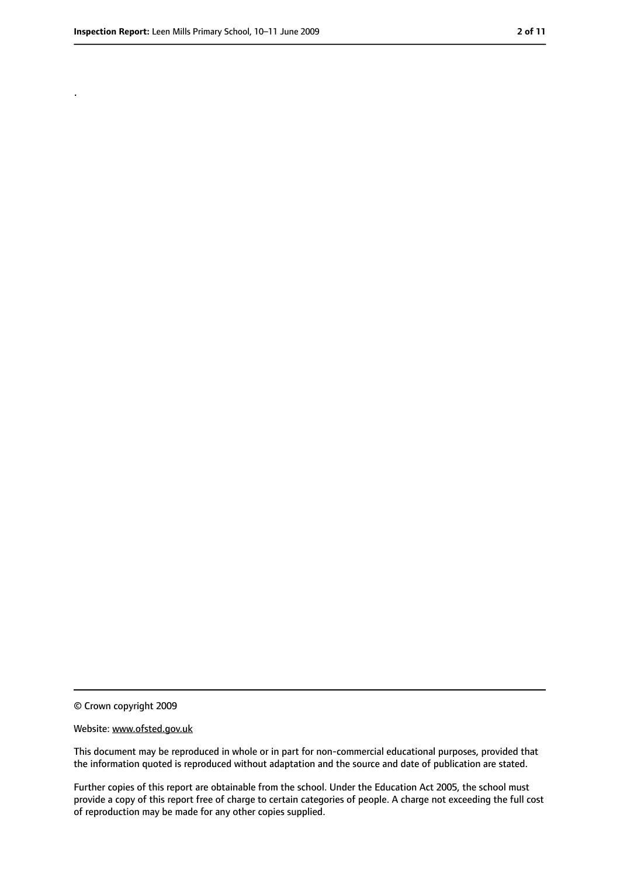.

<sup>©</sup> Crown copyright 2009

Website: www.ofsted.gov.uk

This document may be reproduced in whole or in part for non-commercial educational purposes, provided that the information quoted is reproduced without adaptation and the source and date of publication are stated.

Further copies of this report are obtainable from the school. Under the Education Act 2005, the school must provide a copy of this report free of charge to certain categories of people. A charge not exceeding the full cost of reproduction may be made for any other copies supplied.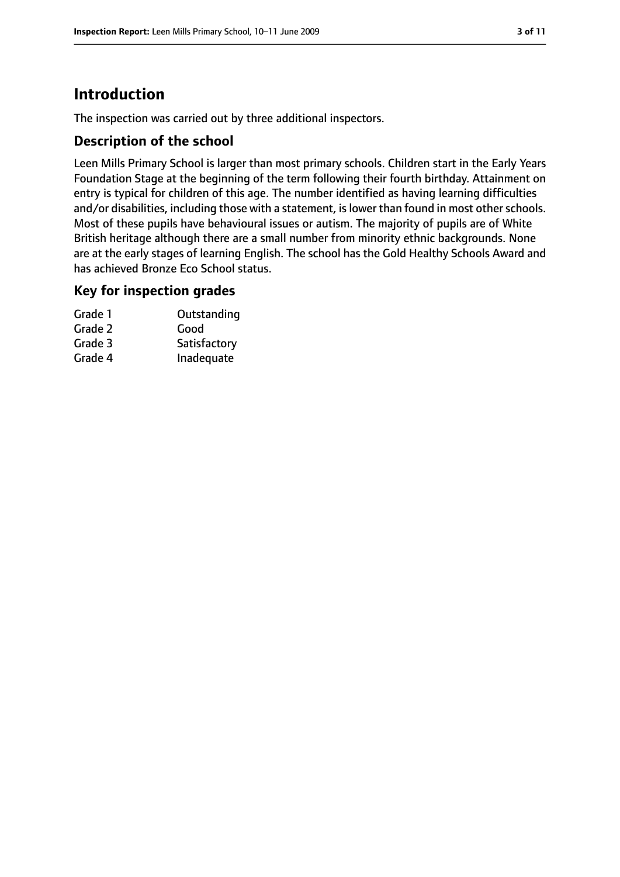# **Introduction**

The inspection was carried out by three additional inspectors.

#### **Description of the school**

Leen Mills Primary School is larger than most primary schools. Children start in the Early Years Foundation Stage at the beginning of the term following their fourth birthday. Attainment on entry is typical for children of this age. The number identified as having learning difficulties and/or disabilities, including those with a statement, is lower than found in most other schools. Most of these pupils have behavioural issues or autism. The majority of pupils are of White British heritage although there are a small number from minority ethnic backgrounds. None are at the early stages of learning English. The school has the Gold Healthy Schools Award and has achieved Bronze Eco School status.

#### **Key for inspection grades**

| Grade 1 | Outstanding  |
|---------|--------------|
| Grade 2 | Good         |
| Grade 3 | Satisfactory |
| Grade 4 | Inadequate   |
|         |              |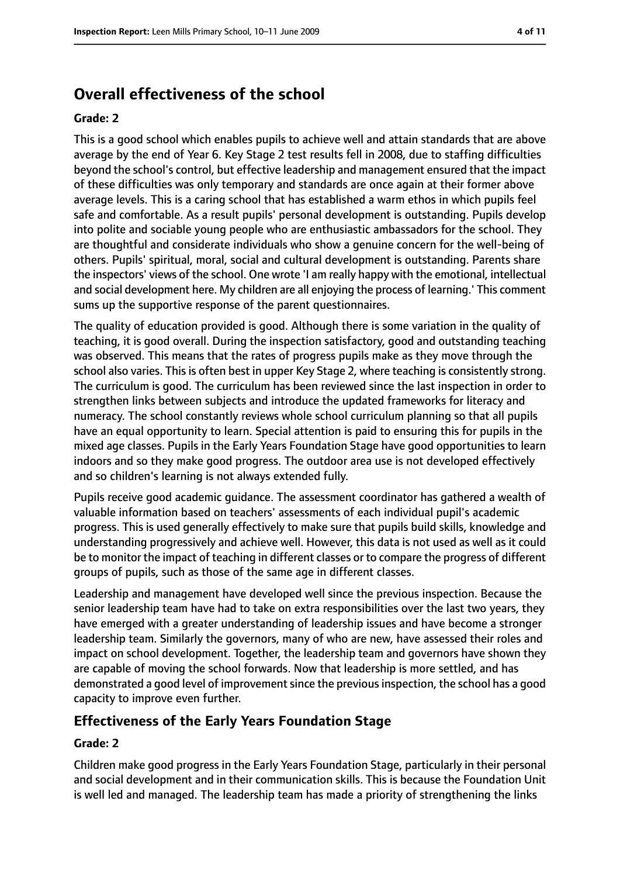# **Overall effectiveness of the school**

#### **Grade: 2**

This is a good school which enables pupils to achieve well and attain standards that are above average by the end of Year 6. Key Stage 2 test results fell in 2008, due to staffing difficulties beyond the school's control, but effective leadership and management ensured that the impact of these difficulties was only temporary and standards are once again at their former above average levels. This is a caring school that has established a warm ethos in which pupils feel safe and comfortable. As a result pupils' personal development is outstanding. Pupils develop into polite and sociable young people who are enthusiastic ambassadors for the school. They are thoughtful and considerate individuals who show a genuine concern for the well-being of others. Pupils' spiritual, moral, social and cultural development is outstanding. Parents share the inspectors' views of the school. One wrote 'I am really happy with the emotional, intellectual and social development here. My children are all enjoying the process of learning.' This comment sums up the supportive response of the parent questionnaires.

The quality of education provided is good. Although there is some variation in the quality of teaching, it is good overall. During the inspection satisfactory, good and outstanding teaching was observed. This means that the rates of progress pupils make as they move through the school also varies. This is often best in upper Key Stage 2, where teaching is consistently strong. The curriculum is good. The curriculum has been reviewed since the last inspection in order to strengthen links between subjects and introduce the updated frameworks for literacy and numeracy. The school constantly reviews whole school curriculum planning so that all pupils have an equal opportunity to learn. Special attention is paid to ensuring this for pupils in the mixed age classes. Pupils in the Early Years Foundation Stage have good opportunities to learn indoors and so they make good progress. The outdoor area use is not developed effectively and so children's learning is not always extended fully.

Pupils receive good academic guidance. The assessment coordinator has gathered a wealth of valuable information based on teachers' assessments of each individual pupil's academic progress. This is used generally effectively to make sure that pupils build skills, knowledge and understanding progressively and achieve well. However, this data is not used as well as it could be to monitor the impact of teaching in different classes or to compare the progress of different groups of pupils, such as those of the same age in different classes.

Leadership and management have developed well since the previous inspection. Because the senior leadership team have had to take on extra responsibilities over the last two years, they have emerged with a greater understanding of leadership issues and have become a stronger leadership team. Similarly the governors, many of who are new, have assessed their roles and impact on school development. Together, the leadership team and governors have shown they are capable of moving the school forwards. Now that leadership is more settled, and has demonstrated a good level of improvement since the previous inspection, the school has a good capacity to improve even further.

### **Effectiveness of the Early Years Foundation Stage**

#### **Grade: 2**

Children make good progress in the Early Years Foundation Stage, particularly in their personal and social development and in their communication skills. This is because the Foundation Unit is well led and managed. The leadership team has made a priority of strengthening the links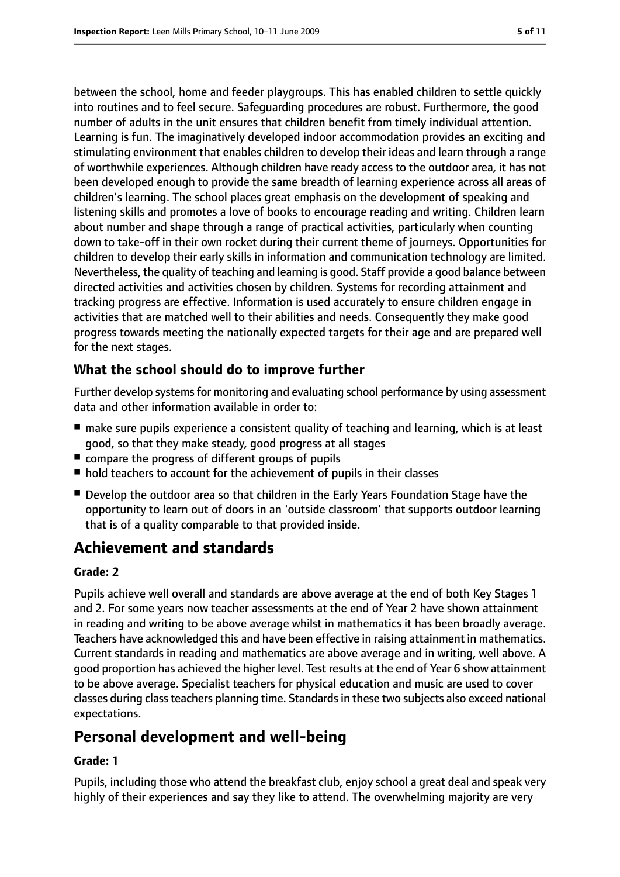between the school, home and feeder playgroups. This has enabled children to settle quickly into routines and to feel secure. Safeguarding procedures are robust. Furthermore, the good number of adults in the unit ensures that children benefit from timely individual attention. Learning is fun. The imaginatively developed indoor accommodation provides an exciting and stimulating environment that enables children to develop their ideas and learn through a range of worthwhile experiences. Although children have ready access to the outdoor area, it has not been developed enough to provide the same breadth of learning experience across all areas of children's learning. The school places great emphasis on the development of speaking and listening skills and promotes a love of books to encourage reading and writing. Children learn about number and shape through a range of practical activities, particularly when counting down to take-off in their own rocket during their current theme of journeys. Opportunities for children to develop their early skills in information and communication technology are limited. Nevertheless, the quality of teaching and learning is good. Staff provide a good balance between directed activities and activities chosen by children. Systems for recording attainment and tracking progress are effective. Information is used accurately to ensure children engage in activities that are matched well to their abilities and needs. Consequently they make good progress towards meeting the nationally expected targets for their age and are prepared well for the next stages.

### **What the school should do to improve further**

Further develop systems for monitoring and evaluating school performance by using assessment data and other information available in order to:

- make sure pupils experience a consistent quality of teaching and learning, which is at least good, so that they make steady, good progress at all stages
- compare the progress of different groups of pupils
- hold teachers to account for the achievement of pupils in their classes
- Develop the outdoor area so that children in the Early Years Foundation Stage have the opportunity to learn out of doors in an 'outside classroom' that supports outdoor learning that is of a quality comparable to that provided inside.

# **Achievement and standards**

#### **Grade: 2**

Pupils achieve well overall and standards are above average at the end of both Key Stages 1 and 2. For some years now teacher assessments at the end of Year 2 have shown attainment in reading and writing to be above average whilst in mathematics it has been broadly average. Teachers have acknowledged this and have been effective in raising attainment in mathematics. Current standards in reading and mathematics are above average and in writing, well above. A good proportion has achieved the higher level. Test results at the end of Year 6 show attainment to be above average. Specialist teachers for physical education and music are used to cover classes during classteachers planning time. Standardsin these two subjects also exceed national expectations.

# **Personal development and well-being**

#### **Grade: 1**

Pupils, including those who attend the breakfast club, enjoy school a great deal and speak very highly of their experiences and say they like to attend. The overwhelming majority are very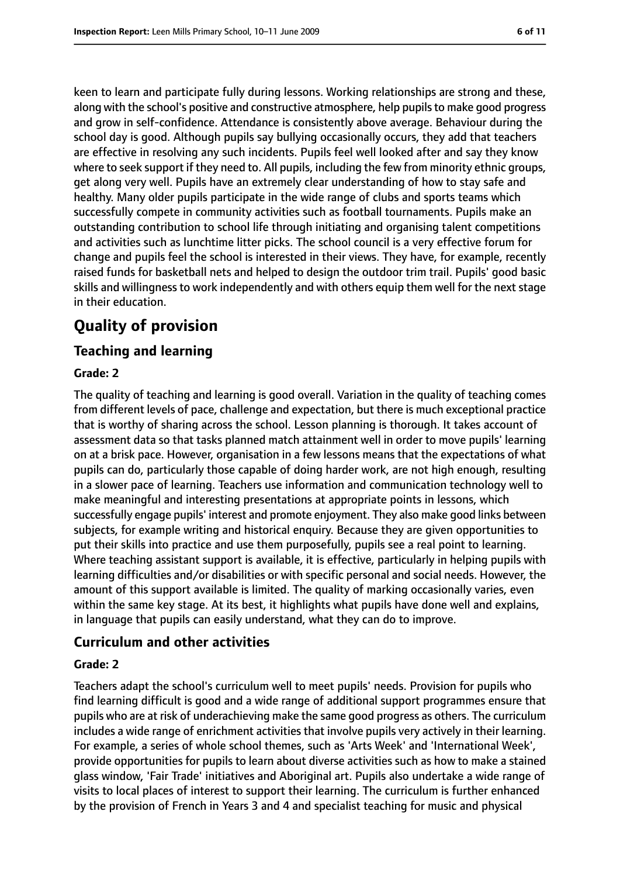keen to learn and participate fully during lessons. Working relationships are strong and these, along with the school's positive and constructive atmosphere, help pupils to make good progress and grow in self-confidence. Attendance is consistently above average. Behaviour during the school day is good. Although pupils say bullying occasionally occurs, they add that teachers are effective in resolving any such incidents. Pupils feel well looked after and say they know where to seek support if they need to. All pupils, including the few from minority ethnic groups, get along very well. Pupils have an extremely clear understanding of how to stay safe and healthy. Many older pupils participate in the wide range of clubs and sports teams which successfully compete in community activities such as football tournaments. Pupils make an outstanding contribution to school life through initiating and organising talent competitions and activities such as lunchtime litter picks. The school council is a very effective forum for change and pupils feel the school is interested in their views. They have, for example, recently raised funds for basketball nets and helped to design the outdoor trim trail. Pupils' good basic skills and willingness to work independently and with others equip them well for the next stage in their education.

# **Quality of provision**

#### **Teaching and learning**

#### **Grade: 2**

The quality of teaching and learning is good overall. Variation in the quality of teaching comes from different levels of pace, challenge and expectation, but there is much exceptional practice that is worthy of sharing across the school. Lesson planning is thorough. It takes account of assessment data so that tasks planned match attainment well in order to move pupils' learning on at a brisk pace. However, organisation in a few lessons means that the expectations of what pupils can do, particularly those capable of doing harder work, are not high enough, resulting in a slower pace of learning. Teachers use information and communication technology well to make meaningful and interesting presentations at appropriate points in lessons, which successfully engage pupils' interest and promote enjoyment. They also make good links between subjects, for example writing and historical enquiry. Because they are given opportunities to put their skills into practice and use them purposefully, pupils see a real point to learning. Where teaching assistant support is available, it is effective, particularly in helping pupils with learning difficulties and/or disabilities or with specific personal and social needs. However, the amount of this support available is limited. The quality of marking occasionally varies, even within the same key stage. At its best, it highlights what pupils have done well and explains, in language that pupils can easily understand, what they can do to improve.

#### **Curriculum and other activities**

#### **Grade: 2**

Teachers adapt the school's curriculum well to meet pupils' needs. Provision for pupils who find learning difficult is good and a wide range of additional support programmes ensure that pupils who are at risk of underachieving make the same good progress as others. The curriculum includes a wide range of enrichment activities that involve pupils very actively in their learning. For example, a series of whole school themes, such as 'Arts Week' and 'International Week', provide opportunities for pupils to learn about diverse activities such as how to make a stained glass window, 'Fair Trade' initiatives and Aboriginal art. Pupils also undertake a wide range of visits to local places of interest to support their learning. The curriculum is further enhanced by the provision of French in Years 3 and 4 and specialist teaching for music and physical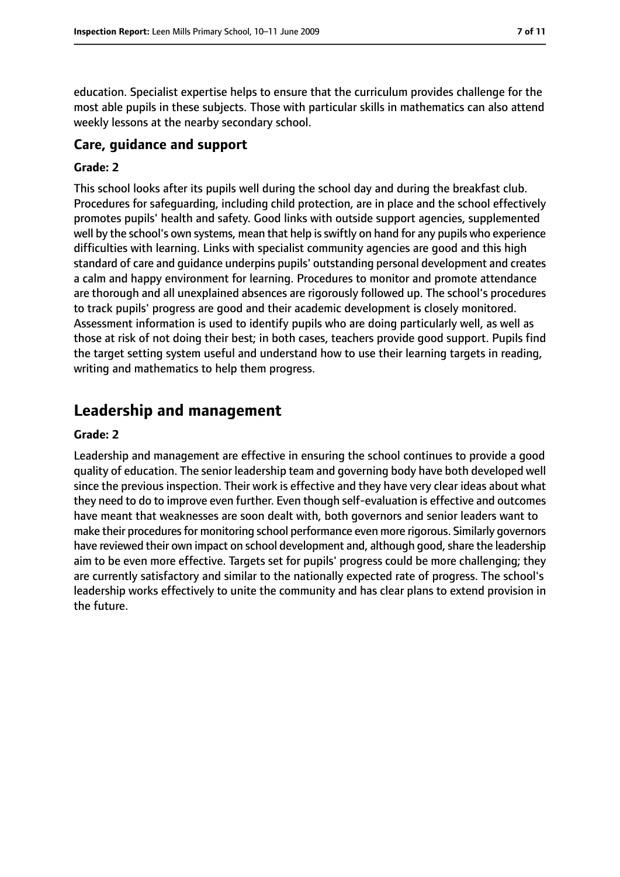education. Specialist expertise helps to ensure that the curriculum provides challenge for the most able pupils in these subjects. Those with particular skills in mathematics can also attend weekly lessons at the nearby secondary school.

#### **Care, guidance and support**

#### **Grade: 2**

This school looks after its pupils well during the school day and during the breakfast club. Procedures for safeguarding, including child protection, are in place and the school effectively promotes pupils' health and safety. Good links with outside support agencies, supplemented well by the school's own systems, mean that help is swiftly on hand for any pupils who experience difficulties with learning. Links with specialist community agencies are good and this high standard of care and guidance underpins pupils' outstanding personal development and creates a calm and happy environment for learning. Procedures to monitor and promote attendance are thorough and all unexplained absences are rigorously followed up. The school's procedures to track pupils' progress are good and their academic development is closely monitored. Assessment information is used to identify pupils who are doing particularly well, as well as those at risk of not doing their best; in both cases, teachers provide good support. Pupils find the target setting system useful and understand how to use their learning targets in reading, writing and mathematics to help them progress.

# **Leadership and management**

#### **Grade: 2**

Leadership and management are effective in ensuring the school continues to provide a good quality of education. The senior leadership team and governing body have both developed well since the previous inspection. Their work is effective and they have very clear ideas about what they need to do to improve even further. Even though self-evaluation is effective and outcomes have meant that weaknesses are soon dealt with, both governors and senior leaders want to make their proceduresfor monitoring school performance even more rigorous. Similarly governors have reviewed their own impact on school development and, although good,share the leadership aim to be even more effective. Targets set for pupils' progress could be more challenging; they are currently satisfactory and similar to the nationally expected rate of progress. The school's leadership works effectively to unite the community and has clear plans to extend provision in the future.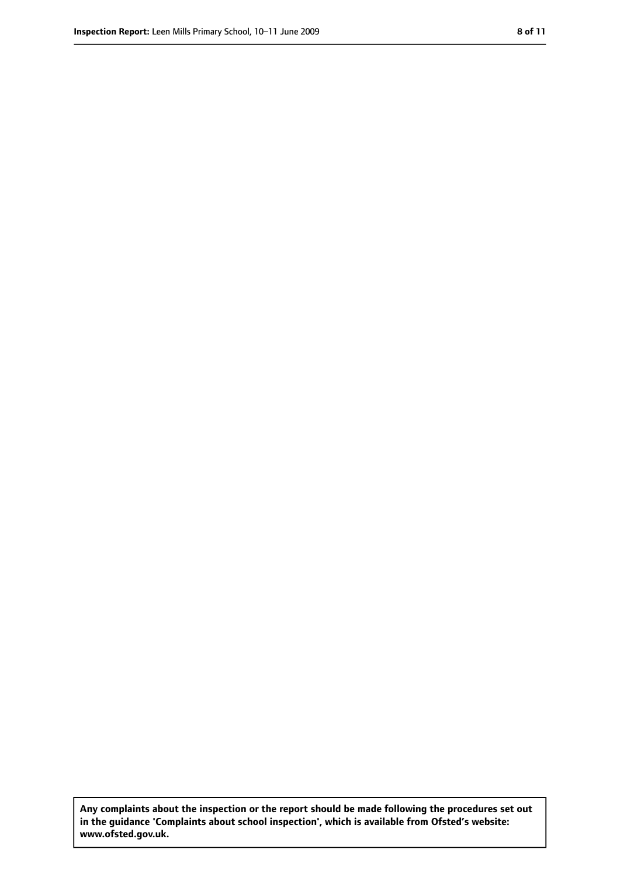**Any complaints about the inspection or the report should be made following the procedures set out in the guidance 'Complaints about school inspection', which is available from Ofsted's website: www.ofsted.gov.uk.**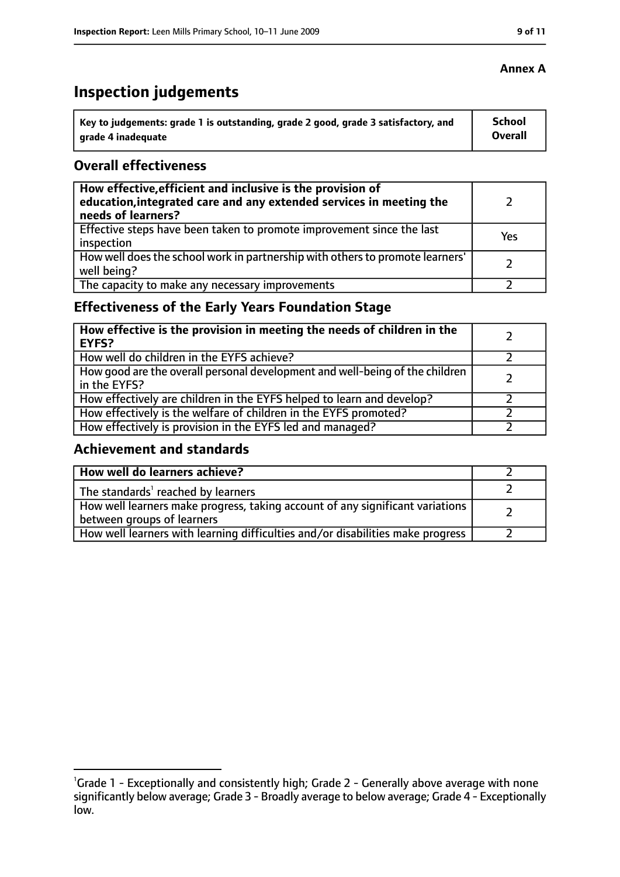# **Inspection judgements**

| ˈ Key to judgements: grade 1 is outstanding, grade 2 good, grade 3 satisfactory, and | School         |
|--------------------------------------------------------------------------------------|----------------|
| grade 4 inadequate                                                                   | <b>Overall</b> |

#### **Overall effectiveness**

| How effective, efficient and inclusive is the provision of<br>education, integrated care and any extended services in meeting the<br>needs of learners? |     |
|---------------------------------------------------------------------------------------------------------------------------------------------------------|-----|
| Effective steps have been taken to promote improvement since the last<br>inspection                                                                     | Yes |
| How well does the school work in partnership with others to promote learners'<br>well being?                                                            |     |
| The capacity to make any necessary improvements                                                                                                         |     |

# **Effectiveness of the Early Years Foundation Stage**

| How effective is the provision in meeting the needs of children in the<br>l EYFS?            |  |
|----------------------------------------------------------------------------------------------|--|
| How well do children in the EYFS achieve?                                                    |  |
| How good are the overall personal development and well-being of the children<br>in the EYFS? |  |
| How effectively are children in the EYFS helped to learn and develop?                        |  |
| How effectively is the welfare of children in the EYFS promoted?                             |  |
| How effectively is provision in the EYFS led and managed?                                    |  |

#### **Achievement and standards**

| How well do learners achieve?                                                  |  |
|--------------------------------------------------------------------------------|--|
| $\vert$ The standards <sup>1</sup> reached by learners                         |  |
| How well learners make progress, taking account of any significant variations  |  |
| between groups of learners                                                     |  |
| How well learners with learning difficulties and/or disabilities make progress |  |

#### **Annex A**

<sup>&</sup>lt;sup>1</sup>Grade 1 - Exceptionally and consistently high; Grade 2 - Generally above average with none significantly below average; Grade 3 - Broadly average to below average; Grade 4 - Exceptionally low.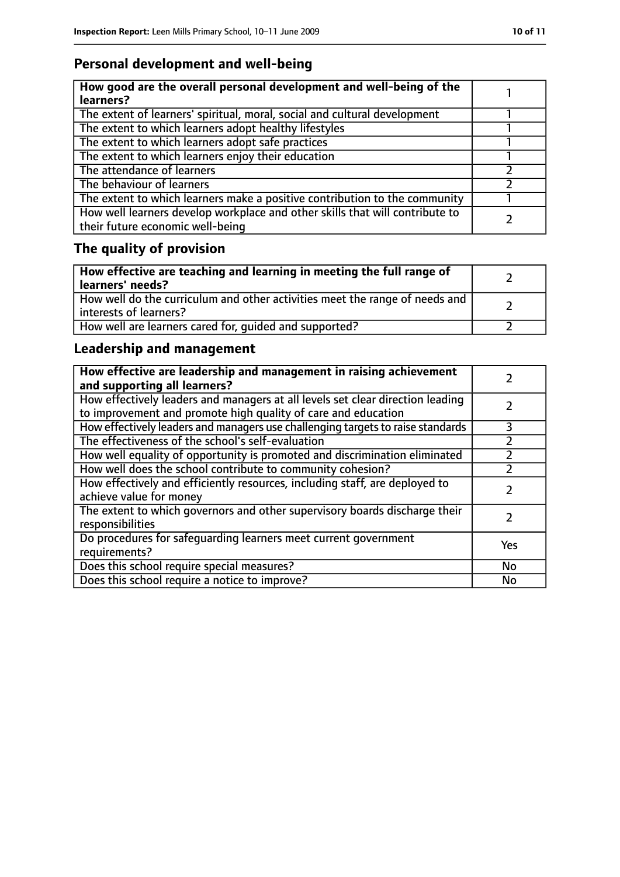# **Personal development and well-being**

| How good are the overall personal development and well-being of the<br>learners?                                 |  |
|------------------------------------------------------------------------------------------------------------------|--|
| The extent of learners' spiritual, moral, social and cultural development                                        |  |
| The extent to which learners adopt healthy lifestyles                                                            |  |
| The extent to which learners adopt safe practices                                                                |  |
| The extent to which learners enjoy their education                                                               |  |
| The attendance of learners                                                                                       |  |
| The behaviour of learners                                                                                        |  |
| The extent to which learners make a positive contribution to the community                                       |  |
| How well learners develop workplace and other skills that will contribute to<br>their future economic well-being |  |

# **The quality of provision**

| How effective are teaching and learning in meeting the full range of<br>learners' needs?              |  |
|-------------------------------------------------------------------------------------------------------|--|
| How well do the curriculum and other activities meet the range of needs and<br>interests of learners? |  |
| How well are learners cared for, quided and supported?                                                |  |

# **Leadership and management**

| How effective are leadership and management in raising achievement<br>and supporting all learners?                                              |     |
|-------------------------------------------------------------------------------------------------------------------------------------------------|-----|
| How effectively leaders and managers at all levels set clear direction leading<br>to improvement and promote high quality of care and education |     |
| How effectively leaders and managers use challenging targets to raise standards                                                                 | 3   |
| The effectiveness of the school's self-evaluation                                                                                               |     |
| How well equality of opportunity is promoted and discrimination eliminated                                                                      |     |
| How well does the school contribute to community cohesion?                                                                                      |     |
| How effectively and efficiently resources, including staff, are deployed to<br>achieve value for money                                          |     |
| The extent to which governors and other supervisory boards discharge their<br>responsibilities                                                  |     |
| Do procedures for safeguarding learners meet current government<br>requirements?                                                                | Yes |
| Does this school require special measures?                                                                                                      | No  |
| Does this school require a notice to improve?                                                                                                   | No  |